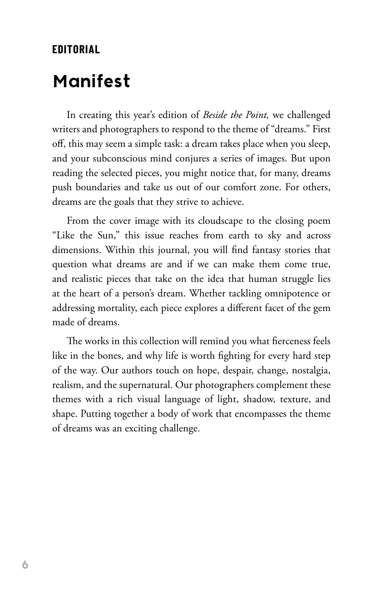## **EDITORIAL**

## **Manifest**

In creating this year's edition of *Beside the Point,* we challenged writers and photographers to respond to the theme of "dreams." First off, this may seem a simple task: a dream takes place when you sleep, and your subconscious mind conjures a series of images. But upon reading the selected pieces, you might notice that, for many, dreams push boundaries and take us out of our comfort zone. For others, dreams are the goals that they strive to achieve.

From the cover image with its cloudscape to the closing poem "Like the Sun," this issue reaches from earth to sky and across dimensions. Within this journal, you will find fantasy stories that question what dreams are and if we can make them come true, and realistic pieces that take on the idea that human struggle lies at the heart of a person's dream. Whether tackling omnipotence or addressing mortality, each piece explores a different facet of the gem made of dreams.

The works in this collection will remind you what fierceness feels like in the bones, and why life is worth fighting for every hard step of the way. Our authors touch on hope, despair, change, nostalgia, realism, and the supernatural. Our photographers complement these themes with a rich visual language of light, shadow, texture, and shape. Putting together a body of work that encompasses the theme of dreams was an exciting challenge.